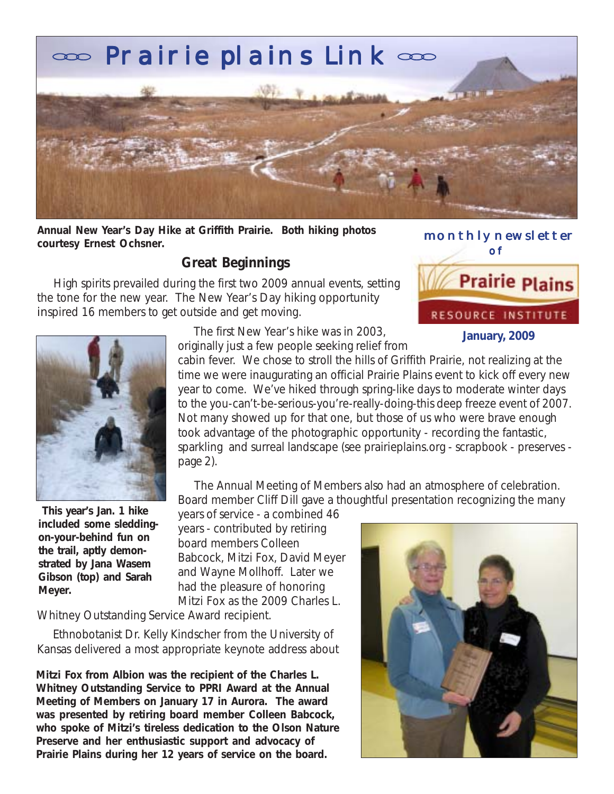os Prairie plains Link as

**Annual New Year's Day Hike at Griffith Prairie. Both hiking photos courtesy Ernest Ochsner.**

## **Great Beginnings**

 High spirits prevailed during the first two 2009 annual events, setting the tone for the new year. The New Year's Day hiking opportunity inspired 16 members to get outside and get moving.





 **This year's Jan. 1 hike included some sleddingon-your-behind fun on the trail, aptly demonstrated by Jana Wasem Gibson (top) and Sarah Meyer.**

 The first New Year's hike was in 2003, originally just a few people seeking relief from

cabin fever. We chose to stroll the hills of Griffith Prairie, not realizing at the time we were inaugurating an official Prairie Plains event to kick off every new year to come. We've hiked through spring-like days to moderate winter days to the you-can't-be-serious-you're-really-doing-this deep freeze event of 2007. Not many showed up for that one, but those of us who were brave enough took advantage of the photographic opportunity - recording the fantastic, sparkling and surreal landscape (see prairieplains.org - scrapbook - preserves page 2).

 The Annual Meeting of Members also had an atmosphere of celebration. Board member Cliff Dill gave a thoughtful presentation recognizing the many

years of service - a combined 46 years - contributed by retiring board members Colleen Babcock, Mitzi Fox, David Meyer and Wayne Mollhoff. Later we had the pleasure of honoring Mitzi Fox as the 2009 Charles L.

Whitney Outstanding Service Award recipient.

 Ethnobotanist Dr. Kelly Kindscher from the University of Kansas delivered a most appropriate keynote address about

**Mitzi Fox from Albion was the recipient of the Charles L. Whitney Outstanding Service to PPRI Award at the Annual Meeting of Members on January 17 in Aurora. The award was presented by retiring board member Colleen Babcock, who spoke of Mitzi's tireless dedication to the Olson Nature Preserve and her enthusiastic support and advocacy of Prairie Plains during her 12 years of service on the board.**